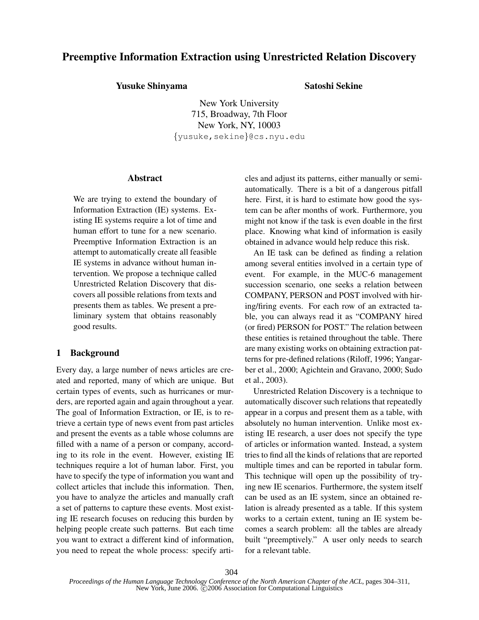# Preemptive Information Extraction using Unrestricted Relation Discovery

# Yusuke Shinyama Satoshi Sekine

New York University 715, Broadway, 7th Floor New York, NY, 10003 {yusuke,sekine}@cs.nyu.edu

# Abstract

We are trying to extend the boundary of Information Extraction (IE) systems. Existing IE systems require a lot of time and human effort to tune for a new scenario. Preemptive Information Extraction is an attempt to automatically create all feasible IE systems in advance without human intervention. We propose a technique called Unrestricted Relation Discovery that discovers all possible relations from texts and presents them as tables. We present a preliminary system that obtains reasonably good results.

# 1 Background

Every day, a large number of news articles are created and reported, many of which are unique. But certain types of events, such as hurricanes or murders, are reported again and again throughout a year. The goal of Information Extraction, or IE, is to retrieve a certain type of news event from past articles and present the events as a table whose columns are filled with a name of a person or company, according to its role in the event. However, existing IE techniques require a lot of human labor. First, you have to specify the type of information you want and collect articles that include this information. Then, you have to analyze the articles and manually craft a set of patterns to capture these events. Most existing IE research focuses on reducing this burden by helping people create such patterns. But each time you want to extract a different kind of information, you need to repeat the whole process: specify articles and adjust its patterns, either manually or semiautomatically. There is a bit of a dangerous pitfall here. First, it is hard to estimate how good the system can be after months of work. Furthermore, you might not know if the task is even doable in the first place. Knowing what kind of information is easily obtained in advance would help reduce this risk.

An IE task can be defined as finding a relation among several entities involved in a certain type of event. For example, in the MUC-6 management succession scenario, one seeks a relation between COMPANY, PERSON and POST involved with hiring/firing events. For each row of an extracted table, you can always read it as "COMPANY hired (or fired) PERSON for POST." The relation between these entities is retained throughout the table. There are many existing works on obtaining extraction patterns for pre-defined relations (Riloff, 1996; Yangarber et al., 2000; Agichtein and Gravano, 2000; Sudo et al., 2003).

Unrestricted Relation Discovery is a technique to automatically discover such relations that repeatedly appear in a corpus and present them as a table, with absolutely no human intervention. Unlike most existing IE research, a user does not specify the type of articles or information wanted. Instead, a system tries to find all the kinds of relations that are reported multiple times and can be reported in tabular form. This technique will open up the possibility of trying new IE scenarios. Furthermore, the system itself can be used as an IE system, since an obtained relation is already presented as a table. If this system works to a certain extent, tuning an IE system becomes a search problem: all the tables are already built "preemptively." A user only needs to search for a relevant table.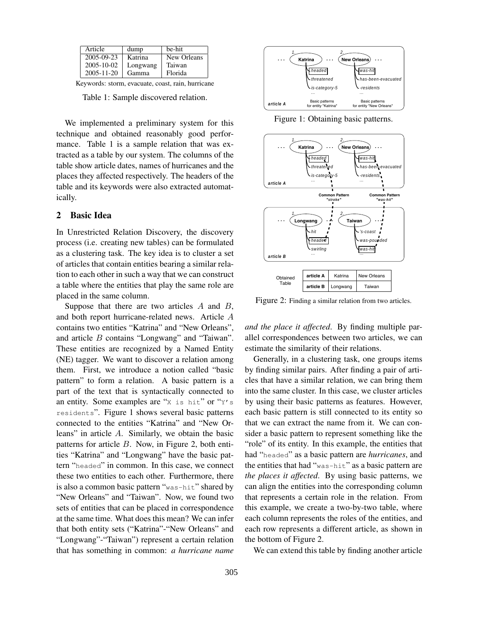| Article          | dump     | be-hit      |
|------------------|----------|-------------|
| 2005-09-23       | Katrina  | New Orleans |
| 2005-10-02       | Longwang | Taiwan      |
| $2005 - 11 - 20$ | Gamma    | Florida     |

Keywords: storm, evacuate, coast, rain, hurricane

Table 1: Sample discovered relation.

We implemented a preliminary system for this technique and obtained reasonably good performance. Table 1 is a sample relation that was extracted as a table by our system. The columns of the table show article dates, names of hurricanes and the places they affected respectively. The headers of the table and its keywords were also extracted automatically.

# 2 Basic Idea

In Unrestricted Relation Discovery, the discovery process (i.e. creating new tables) can be formulated as a clustering task. The key idea is to cluster a set of articles that contain entities bearing a similar relation to each other in such a way that we can construct a table where the entities that play the same role are placed in the same column.

Suppose that there are two articles *A* and *B*, and both report hurricane-related news. Article *A* contains two entities "Katrina" and "New Orleans", and article *B* contains "Longwang" and "Taiwan". These entities are recognized by a Named Entity (NE) tagger. We want to discover a relation among them. First, we introduce a notion called "basic pattern" to form a relation. A basic pattern is a part of the text that is syntactically connected to an entity. Some examples are " $x$  is hit" or " $y$ 's residents". Figure 1 shows several basic patterns connected to the entities "Katrina" and "New Orleans" in article *A*. Similarly, we obtain the basic patterns for article *B*. Now, in Figure 2, both entities "Katrina" and "Longwang" have the basic pattern "headed" in common. In this case, we connect these two entities to each other. Furthermore, there is also a common basic pattern "was-hit" shared by "New Orleans" and "Taiwan". Now, we found two sets of entities that can be placed in correspondence at the same time. What doesthis mean? We can infer that both entity sets ("Katrina"-"New Orleans" and "Longwang"-"Taiwan") represent a certain relation that has something in common: *a hurricane name*



Figure 1: Obtaining basic patterns.



Figure 2: Finding a similar relation from two articles.

*and the place it affected*. By finding multiple parallel correspondences between two articles, we can estimate the similarity of their relations.

Generally, in a clustering task, one groups items by finding similar pairs. After finding a pair of articles that have a similar relation, we can bring them into the same cluster. In this case, we cluster articles by using their basic patterns as features. However, each basic pattern is still connected to its entity so that we can extract the name from it. We can consider a basic pattern to represent something like the "role" of its entity. In this example, the entities that had "headed" as a basic pattern are *hurricanes*, and the entities that had "was-hit" as a basic pattern are *the places it affected*. By using basic patterns, we can align the entities into the corresponding column that represents a certain role in the relation. From this example, we create a two-by-two table, where each column represents the roles of the entities, and each row represents a different article, as shown in the bottom of Figure 2.

We can extend this table by finding another article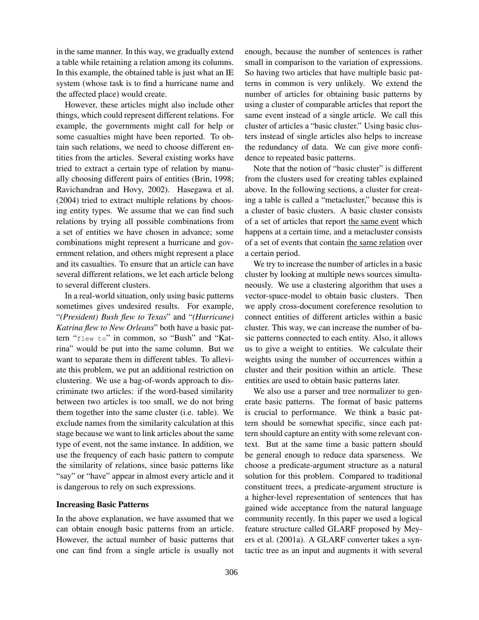in the same manner. In this way, we gradually extend a table while retaining a relation among its columns. In this example, the obtained table is just what an IE system (whose task is to find a hurricane name and the affected place) would create.

However, these articles might also include other things, which could represent different relations. For example, the governments might call for help or some casualties might have been reported. To obtain such relations, we need to choose different entities from the articles. Several existing works have tried to extract a certain type of relation by manually choosing different pairs of entities (Brin, 1998; Ravichandran and Hovy, 2002). Hasegawa et al. (2004) tried to extract multiple relations by choosing entity types. We assume that we can find such relations by trying all possible combinations from a set of entities we have chosen in advance; some combinations might represent a hurricane and government relation, and others might represent a place and its casualties. To ensure that an article can have several different relations, we let each article belong to several different clusters.

In a real-world situation, only using basic patterns sometimes gives undesired results. For example, "*(President) Bush flew to Texas*" and "*(Hurricane) Katrina flew to New Orleans*" both have a basic pattern "flew to" in common, so "Bush" and "Katrina" would be put into the same column. But we want to separate them in different tables. To alleviate this problem, we put an additional restriction on clustering. We use a bag-of-words approach to discriminate two articles: if the word-based similarity between two articles is too small, we do not bring them together into the same cluster (i.e. table). We exclude names from the similarity calculation at this stage because we want to link articles about the same type of event, not the same instance. In addition, we use the frequency of each basic pattern to compute the similarity of relations, since basic patterns like "say" or "have" appear in almost every article and it is dangerous to rely on such expressions.

### Increasing Basic Patterns

In the above explanation, we have assumed that we can obtain enough basic patterns from an article. However, the actual number of basic patterns that one can find from a single article is usually not enough, because the number of sentences is rather small in comparison to the variation of expressions. So having two articles that have multiple basic patterns in common is very unlikely. We extend the number of articles for obtaining basic patterns by using a cluster of comparable articles that report the same event instead of a single article. We call this cluster of articles a "basic cluster." Using basic clusters instead of single articles also helps to increase the redundancy of data. We can give more confidence to repeated basic patterns.

Note that the notion of "basic cluster" is different from the clusters used for creating tables explained above. In the following sections, a cluster for creating a table is called a "metacluster," because this is a cluster of basic clusters. A basic cluster consists of a set of articles that report the same event which happens at a certain time, and a metacluster consists of a set of events that contain the same relation over a certain period.

We try to increase the number of articles in a basic cluster by looking at multiple news sources simultaneously. We use a clustering algorithm that uses a vector-space-model to obtain basic clusters. Then we apply cross-document coreference resolution to connect entities of different articles within a basic cluster. This way, we can increase the number of basic patterns connected to each entity. Also, it allows us to give a weight to entities. We calculate their weights using the number of occurrences within a cluster and their position within an article. These entities are used to obtain basic patterns later.

We also use a parser and tree normalizer to generate basic patterns. The format of basic patterns is crucial to performance. We think a basic pattern should be somewhat specific, since each pattern should capture an entity with some relevant context. But at the same time a basic pattern should be general enough to reduce data sparseness. We choose a predicate-argument structure as a natural solution for this problem. Compared to traditional constituent trees, a predicate-argument structure is a higher-level representation of sentences that has gained wide acceptance from the natural language community recently. In this paper we used a logical feature structure called GLARF proposed by Meyers et al. (2001a). A GLARF converter takes a syntactic tree as an input and augments it with several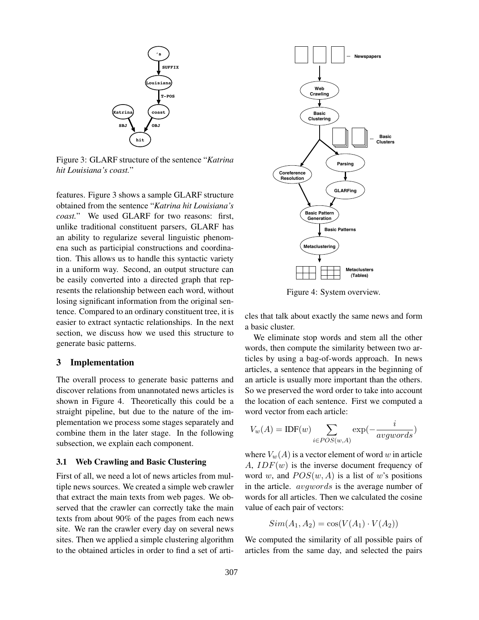

Figure 3: GLARF structure of the sentence "*Katrina hit Louisiana's coast.*"

features. Figure 3 shows a sample GLARF structure obtained from the sentence "*Katrina hit Louisiana's coast.*" We used GLARF for two reasons: first, unlike traditional constituent parsers, GLARF has an ability to regularize several linguistic phenomena such as participial constructions and coordination. This allows us to handle this syntactic variety in a uniform way. Second, an output structure can be easily converted into a directed graph that represents the relationship between each word, without losing significant information from the original sentence. Compared to an ordinary constituent tree, it is easier to extract syntactic relationships. In the next section, we discuss how we used this structure to generate basic patterns.

#### 3 Implementation

The overall process to generate basic patterns and discover relations from unannotated news articles is shown in Figure 4. Theoretically this could be a straight pipeline, but due to the nature of the implementation we process some stages separately and combine them in the later stage. In the following subsection, we explain each component.

#### 3.1 Web Crawling and Basic Clustering

First of all, we need a lot of news articles from multiple news sources. We created a simple web crawler that extract the main texts from web pages. We observed that the crawler can correctly take the main texts from about 90% of the pages from each news site. We ran the crawler every day on several news sites. Then we applied a simple clustering algorithm to the obtained articles in order to find a set of arti-



Figure 4: System overview.

cles that talk about exactly the same news and form a basic cluster.

We eliminate stop words and stem all the other words, then compute the similarity between two articles by using a bag-of-words approach. In news articles, a sentence that appears in the beginning of an article is usually more important than the others. So we preserved the word order to take into account the location of each sentence. First we computed a word vector from each article:

$$
V_w(A) = \text{IDF}(w) \sum_{i \in POS(w,A)} \exp(-\frac{i}{avgwords})
$$

where  $V_w(A)$  is a vector element of word *w* in article *A*, *IDF*(*w*) is the inverse document frequency of word *w*, and  $POS(w, A)$  is a list of *w*'s positions in the article. *avgwords* is the average number of words for all articles. Then we calculated the cosine value of each pair of vectors:

$$
Sim(A_1, A_2) = \cos(V(A_1) \cdot V(A_2))
$$

We computed the similarity of all possible pairs of articles from the same day, and selected the pairs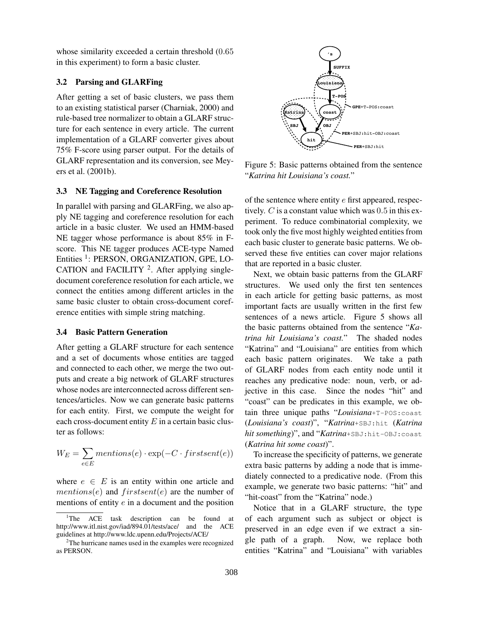whose similarity exceeded a certain threshold (0*.*65 in this experiment) to form a basic cluster.

# 3.2 Parsing and GLARFing

After getting a set of basic clusters, we pass them to an existing statistical parser (Charniak, 2000) and rule-based tree normalizer to obtain a GLARF structure for each sentence in every article. The current implementation of a GLARF converter gives about 75% F-score using parser output. For the details of GLARF representation and its conversion, see Meyers et al. (2001b).

#### 3.3 NE Tagging and Coreference Resolution

In parallel with parsing and GLARFing, we also apply NE tagging and coreference resolution for each article in a basic cluster. We used an HMM-based NE tagger whose performance is about 85% in Fscore. This NE tagger produces ACE-type Named Entities <sup>1</sup>: PERSON, ORGANIZATION, GPE, LO-CATION and FACILITY  $2$ . After applying singledocument coreference resolution for each article, we connect the entities among different articles in the same basic cluster to obtain cross-document coreference entities with simple string matching.

#### 3.4 Basic Pattern Generation

After getting a GLARF structure for each sentence and a set of documents whose entities are tagged and connected to each other, we merge the two outputs and create a big network of GLARF structures whose nodes are interconnected across different sentences/articles. Now we can generate basic patterns for each entity. First, we compute the weight for each cross-document entity *E* in a certain basic cluster as follows:

$$
W_E = \sum_{e \in E} mentions(e) \cdot \exp(-C \cdot firstsent(e))
$$

where  $e \in E$  is an entity within one article and *mentions*(*e*) and *firstsent*(*e*) are the number of mentions of entity *e* in a document and the position



Figure 5: Basic patterns obtained from the sentence "*Katrina hit Louisiana's coast.*"

of the sentence where entity *e* first appeared, respectively. *C* is a constant value which was 0*.*5 in this experiment. To reduce combinatorial complexity, we took only the five most highly weighted entities from each basic cluster to generate basic patterns. We observed these five entities can cover major relations that are reported in a basic cluster.

Next, we obtain basic patterns from the GLARF structures. We used only the first ten sentences in each article for getting basic patterns, as most important facts are usually written in the first few sentences of a news article. Figure 5 shows all the basic patterns obtained from the sentence "*Katrina hit Louisiana's coast.*" The shaded nodes "Katrina" and "Louisiana" are entities from which each basic pattern originates. We take a path of GLARF nodes from each entity node until it reaches any predicative node: noun, verb, or adjective in this case. Since the nodes "hit" and "coast" can be predicates in this example, we obtain three unique paths "*Louisiana*+T-POS:coast (*Louisiana's coast*)", "*Katrina*+SBJ:hit (*Katrina* hit something)", and "Katrina+SBJ:hit-OBJ:coast (*Katrina hit some coast*)".

To increase the specificity of patterns, we generate extra basic patterns by adding a node that is immediately connected to a predicative node. (From this example, we generate two basic patterns: "hit" and "hit-coast" from the "Katrina" node.)

Notice that in a GLARF structure, the type of each argument such as subject or object is preserved in an edge even if we extract a single path of a graph. Now, we replace both entities "Katrina" and "Louisiana" with variables

 $1$ The ACE task description can be found at http://www.itl.nist.gov/iad/894.01/tests/ace/ and the ACE guidelines at http://www.ldc.upenn.edu/Projects/ACE/

<sup>&</sup>lt;sup>2</sup>The hurricane names used in the examples were recognized as PERSON.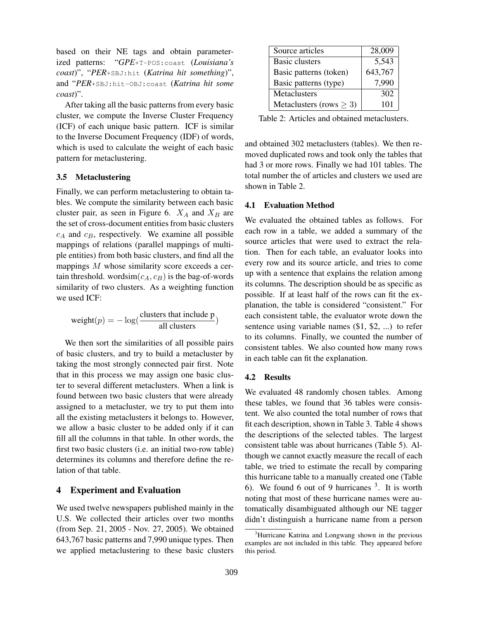based on their NE tags and obtain parameterized patterns: "*GPE*+T-POS:coast (*Louisiana's coast*)", "*PER*+SBJ:hit (*Katrina hit something*)", and "*PER*+SBJ:hit-OBJ:coast (*Katrina hit some coast*)".

After taking all the basic patterns from every basic cluster, we compute the Inverse Cluster Frequency (ICF) of each unique basic pattern. ICF is similar to the Inverse Document Frequency (IDF) of words, which is used to calculate the weight of each basic pattern for metaclustering.

#### 3.5 Metaclustering

Finally, we can perform metaclustering to obtain tables. We compute the similarity between each basic cluster pair, as seen in Figure 6.  $X_A$  and  $X_B$  are the set of cross-document entities from basic clusters *c<sup>A</sup>* and *cB*, respectively. We examine all possible mappings of relations (parallel mappings of multiple entities) from both basic clusters, and find all the mappings *M* whose similarity score exceeds a certain threshold. wordsim $(c_A, c_B)$  is the bag-of-words similarity of two clusters. As a weighting function we used ICF:

$$
weight(p) = -\log(\frac{\text{clusters that include } p}{\text{all clusters}})
$$

We then sort the similarities of all possible pairs of basic clusters, and try to build a metacluster by taking the most strongly connected pair first. Note that in this process we may assign one basic cluster to several different metaclusters. When a link is found between two basic clusters that were already assigned to a metacluster, we try to put them into all the existing metaclusters it belongs to. However, we allow a basic cluster to be added only if it can fill all the columns in that table. In other words, the first two basic clusters (i.e. an initial two-row table) determines its columns and therefore define the relation of that table.

# 4 Experiment and Evaluation

We used twelve newspapers published mainly in the U.S. We collected their articles over two months (from Sep. 21, 2005 - Nov. 27, 2005). We obtained 643,767 basic patterns and 7,990 unique types. Then we applied metaclustering to these basic clusters

| Source articles              | 28,009  |
|------------------------------|---------|
| <b>Basic clusters</b>        | 5,543   |
| Basic patterns (token)       | 643,767 |
| Basic patterns (type)        | 7.990   |
| Metaclusters                 | 302     |
| Metaclusters (rows $\geq$ 3) | 101     |

Table 2: Articles and obtained metaclusters.

and obtained 302 metaclusters (tables). We then removed duplicated rows and took only the tables that had 3 or more rows. Finally we had 101 tables. The total number the of articles and clusters we used are shown in Table 2.

#### 4.1 Evaluation Method

We evaluated the obtained tables as follows. For each row in a table, we added a summary of the source articles that were used to extract the relation. Then for each table, an evaluator looks into every row and its source article, and tries to come up with a sentence that explains the relation among its columns. The description should be as specific as possible. If at least half of the rows can fit the explanation, the table is considered "consistent." For each consistent table, the evaluator wrote down the sentence using variable names (\$1, \$2, ...) to refer to its columns. Finally, we counted the number of consistent tables. We also counted how many rows in each table can fit the explanation.

#### 4.2 Results

We evaluated 48 randomly chosen tables. Among these tables, we found that 36 tables were consistent. We also counted the total number of rows that fit each description, shown in Table 3. Table 4 shows the descriptions of the selected tables. The largest consistent table was about hurricanes (Table 5). Although we cannot exactly measure the recall of each table, we tried to estimate the recall by comparing this hurricane table to a manually created one (Table 6). We found 6 out of 9 hurricanes  $3$ . It is worth noting that most of these hurricane names were automatically disambiguated although our NE tagger didn't distinguish a hurricane name from a person

<sup>&</sup>lt;sup>3</sup>Hurricane Katrina and Longwang shown in the previous examples are not included in this table. They appeared before this period.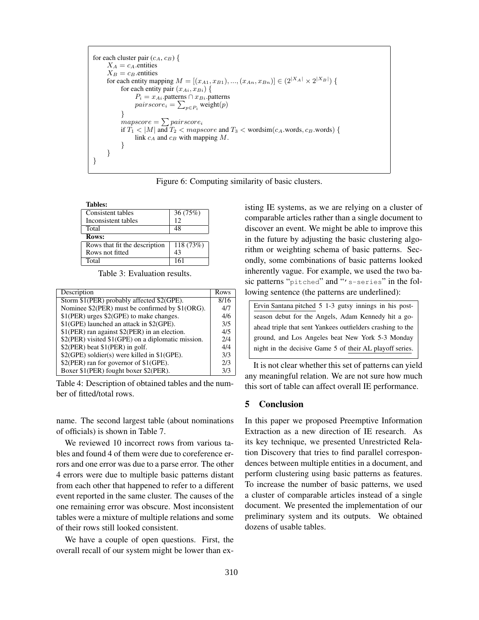```
for each cluster pair (c_A, c_B) {
     X_A = c_A.entities
     X_B = c_B.entities
     for each entity mapping M = [(x_{A1}, x_{B1}), ..., (x_{An}, x_{Bn})] \in (2^{|X_A|} \times 2^{|X_B|}) {
          for each entity pair (x_{Ai}, x_{Bi}) {
                P_i = x_{Ai}. patterns ∩ x_{Bi}. patterns
                 pairscore_i = \sum_{p \in P_i} \text{weight}(p)}
          mapscore = \sum pairscore_iif T_1 < |M| and T_2 < mapscore and T_3 < wordsim(c_A.words, c_B.words) {
                link cA and cB with mapping M.
           }
     }
}
```
Figure 6: Computing similarity of basic clusters.

Tables: Consistent tables 36 (75%) Inconsistent tables 12<br>Total 48 **Total** Rows: Rows that fit the description | 118 (73%) Rows not fitted 143 Total 161

Table 3: Evaluation results.

| Description                                        | Rows |
|----------------------------------------------------|------|
| Storm \$1(PER) probably affected \$2(GPE).         | 8/16 |
| Nominee \$2(PER) must be confirmed by \$1(ORG).    | 4/7  |
| \$1(PER) urges \$2(GPE) to make changes.           | 4/6  |
| \$1(GPE) launched an attack in \$2(GPE).           | 3/5  |
| \$1(PER) ran against \$2(PER) in an election.      | 4/5  |
| \$2(PER) visited \$1(GPE) on a diplomatic mission. | 2/4  |
| \$2(PER) beat \$1(PER) in golf.                    | 4/4  |
| \$2(GPE) soldier(s) were killed in \$1(GPE).       | 3/3  |
| \$2(PER) ran for governor of \$1(GPE).             | 2/3  |
| Boxer \$1(PER) fought boxer \$2(PER).              |      |

Table 4: Description of obtained tables and the number of fitted/total rows.

name. The second largest table (about nominations of officials) is shown in Table 7.

We reviewed 10 incorrect rows from various tables and found 4 of them were due to coreference errors and one error was due to a parse error. The other 4 errors were due to multiple basic patterns distant from each other that happened to refer to a different event reported in the same cluster. The causes of the one remaining error was obscure. Most inconsistent tables were a mixture of multiple relations and some of their rows still looked consistent.

We have a couple of open questions. First, the overall recall of our system might be lower than existing IE systems, as we are relying on a cluster of comparable articles rather than a single document to discover an event. We might be able to improve this in the future by adjusting the basic clustering algorithm or weighting schema of basic patterns. Secondly, some combinations of basic patterns looked inherently vague. For example, we used the two basic patterns "pitched" and "'s-series" in the following sentence (the patterns are underlined):

| Ervin Santana pitched 5 1-3 gutsy innings in his post-     |  |  |
|------------------------------------------------------------|--|--|
| season debut for the Angels, Adam Kennedy hit a go-        |  |  |
| ahead triple that sent Yankees outfielders crashing to the |  |  |
| ground, and Los Angeles beat New York 5-3 Monday           |  |  |
| night in the decisive Game 5 of their AL playoff series.   |  |  |

It is not clear whether this set of patterns can yield any meaningful relation. We are not sure how much this sort of table can affect overall IE performance.

# 5 Conclusion

In this paper we proposed Preemptive Information Extraction as a new direction of IE research. As its key technique, we presented Unrestricted Relation Discovery that tries to find parallel correspondences between multiple entities in a document, and perform clustering using basic patterns as features. To increase the number of basic patterns, we used a cluster of comparable articles instead of a single document. We presented the implementation of our preliminary system and its outputs. We obtained dozens of usable tables.